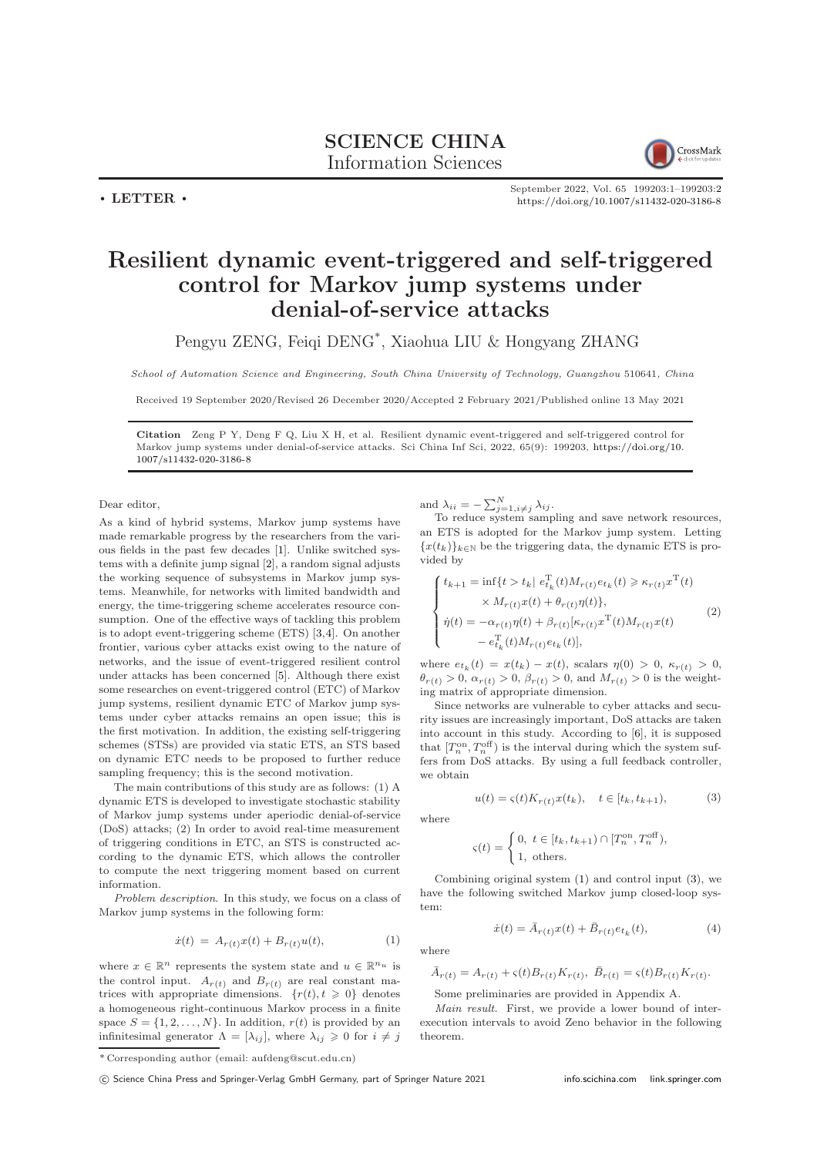

September 2022, Vol. 65 199203:1–199203[:2](#page-1-0) <https://doi.org/10.1007/s11432-020-3186-8>

## Resilient dynamic event-triggered and self-triggered control for Markov jump systems under denial-of-service attacks

Pengyu ZENG, Feiqi DENG\* , Xiaohua LIU & Hongyang ZHANG

School of Automation Science and Engineering, South China University of Technology, Guangzhou 510641, China

Received 19 September 2020/Revised 26 December 2020/Accepted 2 February 2021/Published online 13 May 2021

Citation Zeng P Y, Deng F Q, Liu X H, et al. Resilient dynamic event-triggered and self-triggered control for Markov jump systems under denial-of-service attacks. Sci China Inf Sci, 2022, 65(9): 199203, [https://doi.org/10.](https://doi.org/10.1007/s11432-020-3186-8) [1007/s11432-020-3186-8](https://doi.org/10.1007/s11432-020-3186-8)

Dear editor,

 $\cdot$  LETTER  $\cdot$ 

As a kind of hybrid systems, Markov jump systems have made remarkable progress by the researchers from the various fields in the past few decades [\[1\]](#page-1-1). Unlike switched systems with a definite jump signal [\[2\]](#page-1-2), a random signal adjusts the working sequence of subsystems in Markov jump systems. Meanwhile, for networks with limited bandwidth and energy, the time-triggering scheme accelerates resource consumption. One of the effective ways of tackling this problem is to adopt event-triggering scheme (ETS) [\[3](#page-1-3)[,4\]](#page-1-4). On another frontier, various cyber attacks exist owing to the nature of networks, and the issue of event-triggered resilient control under attacks has been concerned [\[5\]](#page-1-5). Although there exist some researches on event-triggered control (ETC) of Markov jump systems, resilient dynamic ETC of Markov jump systems under cyber attacks remains an open issue; this is the first motivation. In addition, the existing self-triggering schemes (STSs) are provided via static ETS, an STS based on dynamic ETC needs to be proposed to further reduce sampling frequency; this is the second motivation.

The main contributions of this study are as follows: (1) A dynamic ETS is developed to investigate stochastic stability of Markov jump systems under aperiodic denial-of-service (DoS) attacks; (2) In order to avoid real-time measurement of triggering conditions in ETC, an STS is constructed according to the dynamic ETS, which allows the controller to compute the next triggering moment based on current information.

Problem description. In this study, we focus on a class of Markov jump systems in the following form:

$$
\dot{x}(t) = A_{r(t)}x(t) + B_{r(t)}u(t), \tag{1}
$$

where  $x \in \mathbb{R}^n$  represents the system state and  $u \in \mathbb{R}^{n_u}$  is the control input.  $A_{r(t)}$  and  $B_{r(t)}$  are real constant matrices with appropriate dimensions.  $\{r(t), t \geq 0\}$  denotes a homogeneous right-continuous Markov process in a finite space  $S = \{1, 2, ..., N\}$ . In addition,  $r(t)$  is provided by an infinitesimal generator  $\Lambda = [\lambda_{ij}]$ , where  $\lambda_{ij} \geqslant 0$  for  $i \neq j$  and  $\lambda_{ii} = -\sum_{j=1, i \neq j}^{N} \lambda_{ij}$ .

To reduce system sampling and save network resources, an ETS is adopted for the Markov jump system. Letting  ${x(t_k)}_{k\in\mathbb{N}}$  be the triggering data, the dynamic ETS is provided by

<span id="page-0-2"></span>
$$
\begin{cases}\nt_{k+1} = \inf\{t > t_k | e_{t_k}^{\mathrm{T}}(t)M_{r(t)}e_{t_k}(t) \geq \kappa_{r(t)}x^{\mathrm{T}}(t) \\
\times M_{r(t)}x(t) + \theta_{r(t)}\eta(t)\}, \\
\dot{\eta}(t) = -\alpha_{r(t)}\eta(t) + \beta_{r(t)}[\kappa_{r(t)}x^{\mathrm{T}}(t)M_{r(t)}x(t) \\
- e_{t_k}^{\mathrm{T}}(t)M_{r(t)}e_{t_k}(t)],\n\end{cases} \tag{2}
$$

where  $e_{t_k}(t) = x(t_k) - x(t)$ , scalars  $\eta(0) > 0$ ,  $\kappa_{r(t)} > 0$ ,  $\theta_{r(t)} > 0$ ,  $\alpha_{r(t)} > 0$ ,  $\beta_{r(t)} > 0$ , and  $M_{r(t)} > 0$  is the weighting matrix of appropriate dimension.

Since networks are vulnerable to cyber attacks and security issues are increasingly important, DoS attacks are taken into account in this study. According to [\[6\]](#page-1-6), it is supposed that  $[T_n^{\text{on}}, T_n^{\text{off}})$  is the interval during which the system suffers from DoS attacks. By using a full feedback controller, we obtain

<span id="page-0-1"></span>
$$
u(t) = \varsigma(t) K_{r(t)} x(t_k), \quad t \in [t_k, t_{k+1}), \tag{3}
$$

where

$$
\varsigma(t) = \begin{cases} 0, \ t \in [t_k, t_{k+1}) \cap [T_n^{\text{on}}, T_n^{\text{off}}), \\ 1, \ \text{others.} \end{cases}
$$

Combining original system [\(1\)](#page-0-0) and control input [\(3\)](#page-0-1), we have the following switched Markov jump closed-loop system:

<span id="page-0-3"></span>
$$
\dot{x}(t) = \bar{A}_{r(t)}x(t) + \bar{B}_{r(t)}e_{t_k}(t),
$$
\n(4)

<span id="page-0-0"></span>where

$$
\bar{A}_{r(t)} = A_{r(t)} + \varsigma(t)B_{r(t)}K_{r(t)}, \ \bar{B}_{r(t)} = \varsigma(t)B_{r(t)}K_{r(t)}.
$$

Some preliminaries are provided in Appendix A.

Main result. First, we provide a lower bound of interexecution intervals to avoid Zeno behavior in the following theorem.

c Science China Press and Springer-Verlag GmbH Germany, part of Springer Nature 2021 <info.scichina.com><link.springer.com>

<sup>\*</sup> Corresponding author (email: aufdeng@scut.edu.cn)